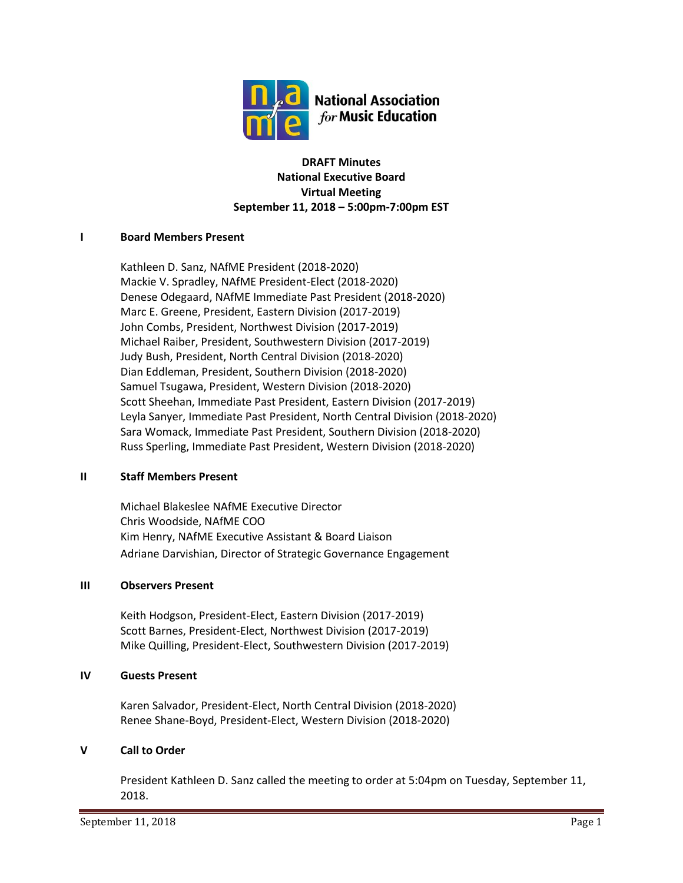

### **DRAFT Minutes National Executive Board Virtual Meeting September 11, 2018 – 5:00pm-7:00pm EST**

### **I Board Members Present**

Kathleen D. Sanz, NAfME President (2018-2020) Mackie V. Spradley, NAfME President-Elect (2018-2020) Denese Odegaard, NAfME Immediate Past President (2018-2020) Marc E. Greene, President, Eastern Division (2017-2019) John Combs, President, Northwest Division (2017-2019) Michael Raiber, President, Southwestern Division (2017-2019) Judy Bush, President, North Central Division (2018-2020) Dian Eddleman, President, Southern Division (2018-2020) Samuel Tsugawa, President, Western Division (2018-2020) Scott Sheehan, Immediate Past President, Eastern Division (2017-2019) Leyla Sanyer, Immediate Past President, North Central Division (2018-2020) Sara Womack, Immediate Past President, Southern Division (2018-2020) Russ Sperling, Immediate Past President, Western Division (2018-2020)

### **II Staff Members Present**

Michael Blakeslee NAfME Executive Director Chris Woodside, NAfME COO Kim Henry, NAfME Executive Assistant & Board Liaison Adriane Darvishian, Director of Strategic Governance Engagement

### **III Observers Present**

Keith Hodgson, President-Elect, Eastern Division (2017-2019) Scott Barnes, President-Elect, Northwest Division (2017-2019) Mike Quilling, President-Elect, Southwestern Division (2017-2019)

### **IV Guests Present**

Karen Salvador, President-Elect, North Central Division (2018-2020) Renee Shane-Boyd, President-Elect, Western Division (2018-2020)

### **V Call to Order**

President Kathleen D. Sanz called the meeting to order at 5:04pm on Tuesday, September 11, 2018.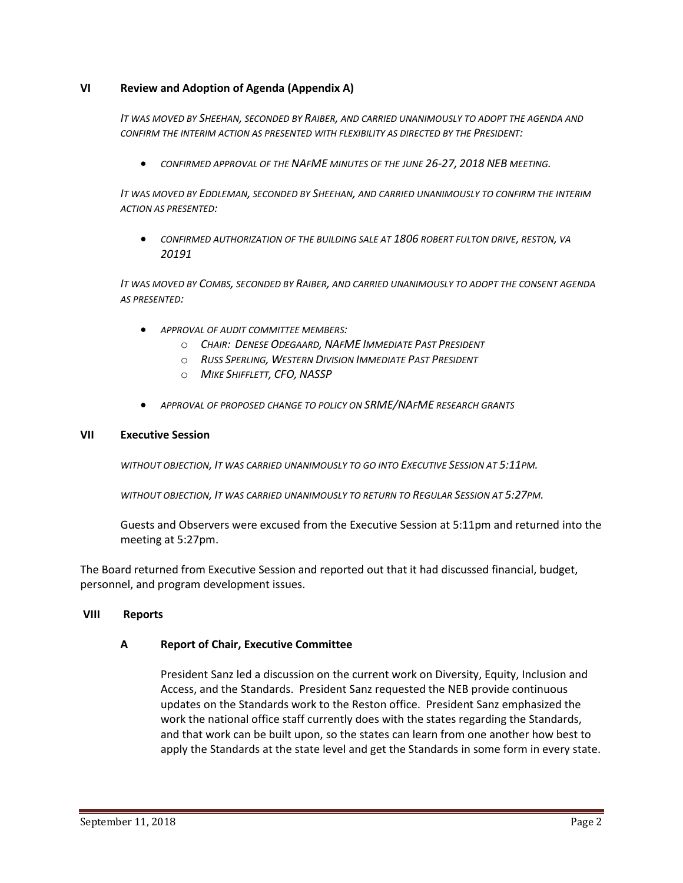### **VI Review and Adoption of Agenda (Appendix A)**

*IT WAS MOVED BY SHEEHAN, SECONDED BY RAIBER, AND CARRIED UNANIMOUSLY TO ADOPT THE AGENDA AND CONFIRM THE INTERIM ACTION AS PRESENTED WITH FLEXIBILITY AS DIRECTED BY THE PRESIDENT:*

• *CONFIRMED APPROVAL OF THE NAFME MINUTES OF THE JUNE 26-27, 2018 NEB MEETING.*

*IT WAS MOVED BY EDDLEMAN, SECONDED BY SHEEHAN, AND CARRIED UNANIMOUSLY TO CONFIRM THE INTERIM ACTION AS PRESENTED:*

• *CONFIRMED AUTHORIZATION OF THE BUILDING SALE AT 1806 ROBERT FULTON DRIVE, RESTON, VA 20191*

*IT WAS MOVED BY COMBS, SECONDED BY RAIBER, AND CARRIED UNANIMOUSLY TO ADOPT THE CONSENT AGENDA AS PRESENTED:*

- *APPROVAL OF AUDIT COMMITTEE MEMBERS:*
	- o *CHAIR: DENESE ODEGAARD, NAFME IMMEDIATE PAST PRESIDENT*
	- o *RUSS SPERLING, WESTERN DIVISION IMMEDIATE PAST PRESIDENT*
	- o *MIKE SHIFFLETT, CFO, NASSP*
- *APPROVAL OF PROPOSED CHANGE TO POLICY ON SRME/NAFME RESEARCH GRANTS*

#### **VII Executive Session**

*WITHOUT OBJECTION, IT WAS CARRIED UNANIMOUSLY TO GO INTO EXECUTIVE SESSION AT 5:11PM.*

*WITHOUT OBJECTION, IT WAS CARRIED UNANIMOUSLY TO RETURN TO REGULAR SESSION AT 5:27PM.*

Guests and Observers were excused from the Executive Session at 5:11pm and returned into the meeting at 5:27pm.

The Board returned from Executive Session and reported out that it had discussed financial, budget, personnel, and program development issues.

### **VIII Reports**

### **A Report of Chair, Executive Committee**

President Sanz led a discussion on the current work on Diversity, Equity, Inclusion and Access, and the Standards. President Sanz requested the NEB provide continuous updates on the Standards work to the Reston office. President Sanz emphasized the work the national office staff currently does with the states regarding the Standards, and that work can be built upon, so the states can learn from one another how best to apply the Standards at the state level and get the Standards in some form in every state.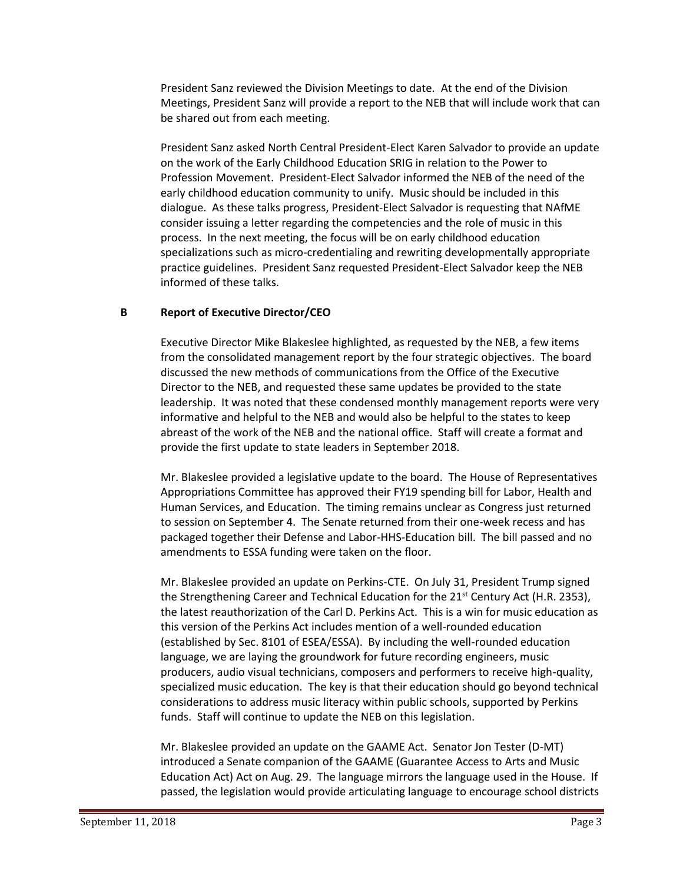President Sanz reviewed the Division Meetings to date. At the end of the Division Meetings, President Sanz will provide a report to the NEB that will include work that can be shared out from each meeting.

President Sanz asked North Central President-Elect Karen Salvador to provide an update on the work of the Early Childhood Education SRIG in relation to the Power to Profession Movement. President-Elect Salvador informed the NEB of the need of the early childhood education community to unify. Music should be included in this dialogue. As these talks progress, President-Elect Salvador is requesting that NAfME consider issuing a letter regarding the competencies and the role of music in this process. In the next meeting, the focus will be on early childhood education specializations such as micro-credentialing and rewriting developmentally appropriate practice guidelines. President Sanz requested President-Elect Salvador keep the NEB informed of these talks.

### **B Report of Executive Director/CEO**

Executive Director Mike Blakeslee highlighted, as requested by the NEB, a few items from the consolidated management report by the four strategic objectives. The board discussed the new methods of communications from the Office of the Executive Director to the NEB, and requested these same updates be provided to the state leadership. It was noted that these condensed monthly management reports were very informative and helpful to the NEB and would also be helpful to the states to keep abreast of the work of the NEB and the national office. Staff will create a format and provide the first update to state leaders in September 2018.

Mr. Blakeslee provided a legislative update to the board. The House of Representatives Appropriations Committee has approved their FY19 spending bill for Labor, Health and Human Services, and Education. The timing remains unclear as Congress just returned to session on September 4. The Senate returned from their one-week recess and has packaged together their Defense and Labor-HHS-Education bill. The bill passed and no amendments to ESSA funding were taken on the floor.

Mr. Blakeslee provided an update on Perkins-CTE. On July 31, President Trump signed the Strengthening Career and Technical Education for the 21<sup>st</sup> Century Act (H.R. 2353), the latest reauthorization of the Carl D. Perkins Act. This is a win for music education as this version of the Perkins Act includes mention of a well-rounded education (established by Sec. 8101 of ESEA/ESSA). By including the well-rounded education language, we are laying the groundwork for future recording engineers, music producers, audio visual technicians, composers and performers to receive high-quality, specialized music education. The key is that their education should go beyond technical considerations to address music literacy within public schools, supported by Perkins funds. Staff will continue to update the NEB on this legislation.

Mr. Blakeslee provided an update on the GAAME Act. Senator Jon Tester (D-MT) introduced a Senate companion of the GAAME (Guarantee Access to Arts and Music Education Act) Act on Aug. 29. The language mirrors the language used in the House. If passed, the legislation would provide articulating language to encourage school districts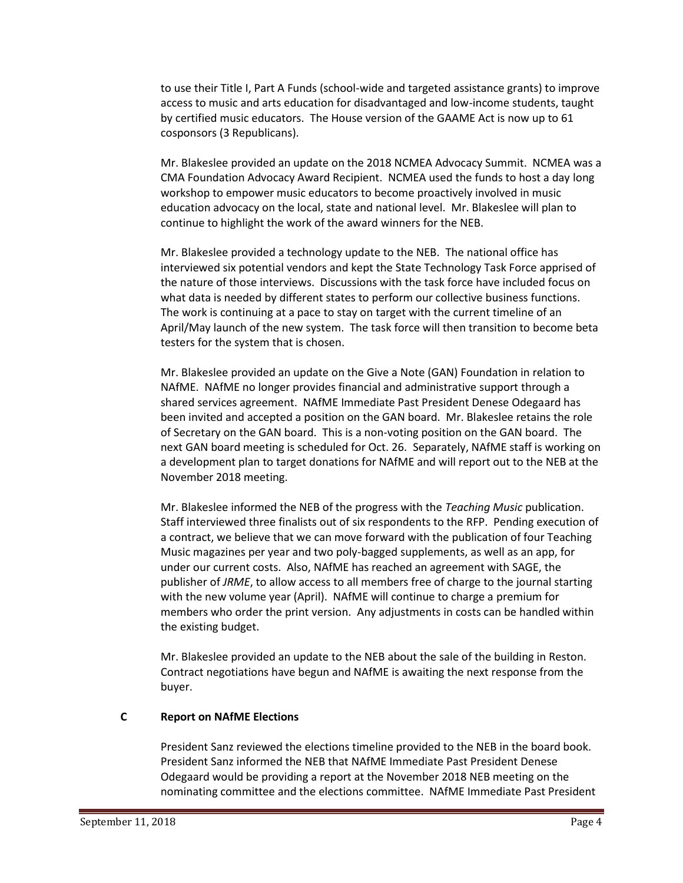to use their Title I, Part A Funds (school-wide and targeted assistance grants) to improve access to music and arts education for disadvantaged and low-income students, taught by certified music educators. The House version of the GAAME Act is now up to 61 cosponsors (3 Republicans).

Mr. Blakeslee provided an update on the 2018 NCMEA Advocacy Summit. NCMEA was a CMA Foundation Advocacy Award Recipient. NCMEA used the funds to host a day long workshop to empower music educators to become proactively involved in music education advocacy on the local, state and national level. Mr. Blakeslee will plan to continue to highlight the work of the award winners for the NEB.

Mr. Blakeslee provided a technology update to the NEB. The national office has interviewed six potential vendors and kept the State Technology Task Force apprised of the nature of those interviews. Discussions with the task force have included focus on what data is needed by different states to perform our collective business functions. The work is continuing at a pace to stay on target with the current timeline of an April/May launch of the new system. The task force will then transition to become beta testers for the system that is chosen.

Mr. Blakeslee provided an update on the Give a Note (GAN) Foundation in relation to NAfME. NAfME no longer provides financial and administrative support through a shared services agreement. NAfME Immediate Past President Denese Odegaard has been invited and accepted a position on the GAN board. Mr. Blakeslee retains the role of Secretary on the GAN board. This is a non-voting position on the GAN board. The next GAN board meeting is scheduled for Oct. 26. Separately, NAfME staff is working on a development plan to target donations for NAfME and will report out to the NEB at the November 2018 meeting.

Mr. Blakeslee informed the NEB of the progress with the *Teaching Music* publication. Staff interviewed three finalists out of six respondents to the RFP. Pending execution of a contract, we believe that we can move forward with the publication of four Teaching Music magazines per year and two poly-bagged supplements, as well as an app, for under our current costs. Also, NAfME has reached an agreement with SAGE, the publisher of *JRME*, to allow access to all members free of charge to the journal starting with the new volume year (April). NAfME will continue to charge a premium for members who order the print version. Any adjustments in costs can be handled within the existing budget.

Mr. Blakeslee provided an update to the NEB about the sale of the building in Reston. Contract negotiations have begun and NAfME is awaiting the next response from the buyer.

### **C Report on NAfME Elections**

President Sanz reviewed the elections timeline provided to the NEB in the board book. President Sanz informed the NEB that NAfME Immediate Past President Denese Odegaard would be providing a report at the November 2018 NEB meeting on the nominating committee and the elections committee. NAfME Immediate Past President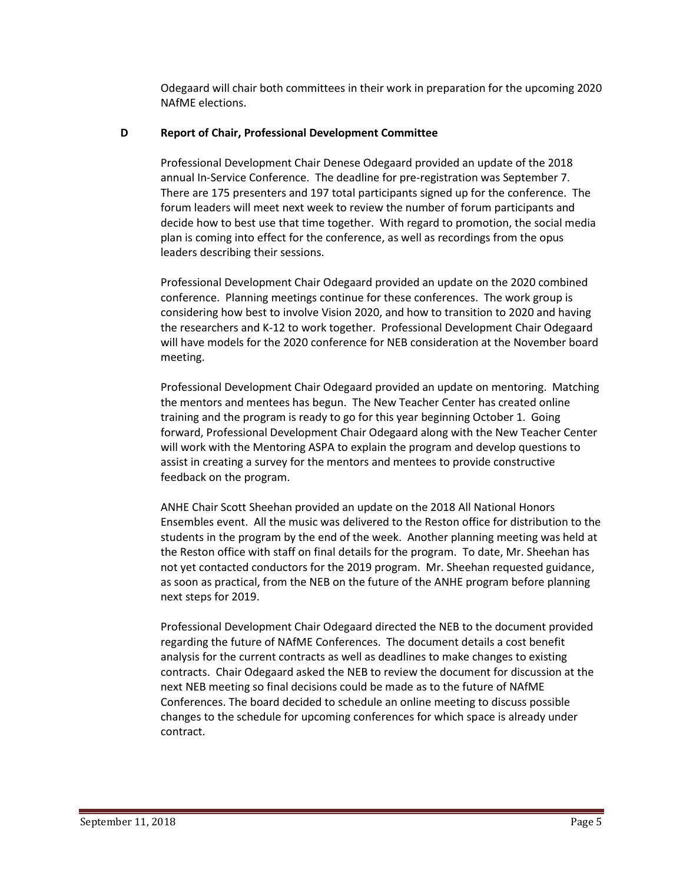Odegaard will chair both committees in their work in preparation for the upcoming 2020 NAfME elections.

### **D Report of Chair, Professional Development Committee**

Professional Development Chair Denese Odegaard provided an update of the 2018 annual In-Service Conference. The deadline for pre-registration was September 7. There are 175 presenters and 197 total participants signed up for the conference. The forum leaders will meet next week to review the number of forum participants and decide how to best use that time together. With regard to promotion, the social media plan is coming into effect for the conference, as well as recordings from the opus leaders describing their sessions.

Professional Development Chair Odegaard provided an update on the 2020 combined conference. Planning meetings continue for these conferences. The work group is considering how best to involve Vision 2020, and how to transition to 2020 and having the researchers and K-12 to work together. Professional Development Chair Odegaard will have models for the 2020 conference for NEB consideration at the November board meeting.

Professional Development Chair Odegaard provided an update on mentoring. Matching the mentors and mentees has begun. The New Teacher Center has created online training and the program is ready to go for this year beginning October 1. Going forward, Professional Development Chair Odegaard along with the New Teacher Center will work with the Mentoring ASPA to explain the program and develop questions to assist in creating a survey for the mentors and mentees to provide constructive feedback on the program.

ANHE Chair Scott Sheehan provided an update on the 2018 All National Honors Ensembles event. All the music was delivered to the Reston office for distribution to the students in the program by the end of the week. Another planning meeting was held at the Reston office with staff on final details for the program. To date, Mr. Sheehan has not yet contacted conductors for the 2019 program. Mr. Sheehan requested guidance, as soon as practical, from the NEB on the future of the ANHE program before planning next steps for 2019.

Professional Development Chair Odegaard directed the NEB to the document provided regarding the future of NAfME Conferences. The document details a cost benefit analysis for the current contracts as well as deadlines to make changes to existing contracts. Chair Odegaard asked the NEB to review the document for discussion at the next NEB meeting so final decisions could be made as to the future of NAfME Conferences. The board decided to schedule an online meeting to discuss possible changes to the schedule for upcoming conferences for which space is already under contract.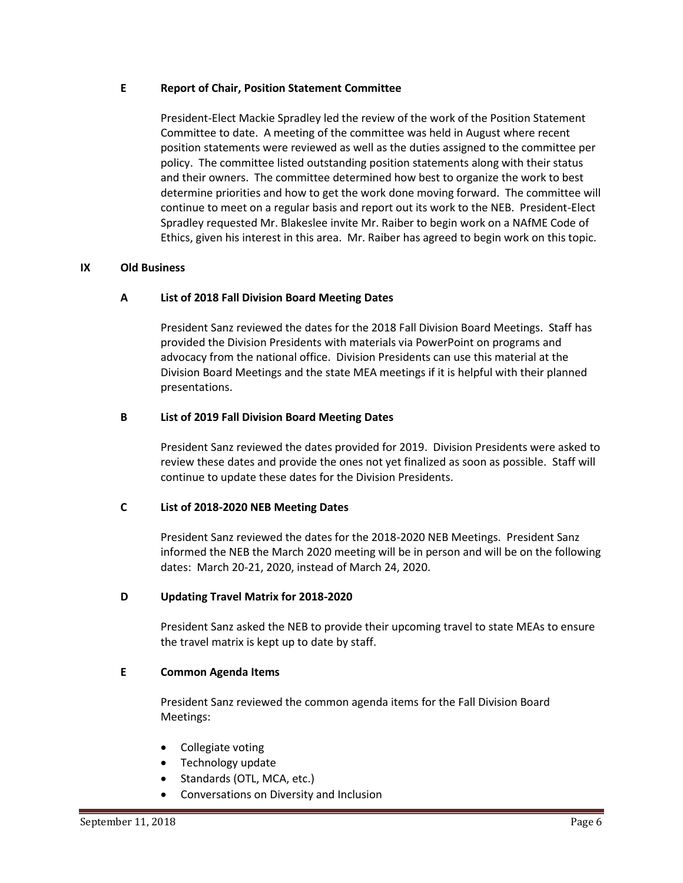### **E Report of Chair, Position Statement Committee**

President-Elect Mackie Spradley led the review of the work of the Position Statement Committee to date. A meeting of the committee was held in August where recent position statements were reviewed as well as the duties assigned to the committee per policy. The committee listed outstanding position statements along with their status and their owners. The committee determined how best to organize the work to best determine priorities and how to get the work done moving forward. The committee will continue to meet on a regular basis and report out its work to the NEB. President-Elect Spradley requested Mr. Blakeslee invite Mr. Raiber to begin work on a NAfME Code of Ethics, given his interest in this area. Mr. Raiber has agreed to begin work on this topic.

### **IX Old Business**

### **A List of 2018 Fall Division Board Meeting Dates**

President Sanz reviewed the dates for the 2018 Fall Division Board Meetings. Staff has provided the Division Presidents with materials via PowerPoint on programs and advocacy from the national office. Division Presidents can use this material at the Division Board Meetings and the state MEA meetings if it is helpful with their planned presentations.

### **B List of 2019 Fall Division Board Meeting Dates**

President Sanz reviewed the dates provided for 2019. Division Presidents were asked to review these dates and provide the ones not yet finalized as soon as possible. Staff will continue to update these dates for the Division Presidents.

### **C List of 2018-2020 NEB Meeting Dates**

President Sanz reviewed the dates for the 2018-2020 NEB Meetings. President Sanz informed the NEB the March 2020 meeting will be in person and will be on the following dates: March 20-21, 2020, instead of March 24, 2020.

### **D Updating Travel Matrix for 2018-2020**

President Sanz asked the NEB to provide their upcoming travel to state MEAs to ensure the travel matrix is kept up to date by staff.

### **E Common Agenda Items**

President Sanz reviewed the common agenda items for the Fall Division Board Meetings:

- Collegiate voting
- Technology update
- Standards (OTL, MCA, etc.)
- Conversations on Diversity and Inclusion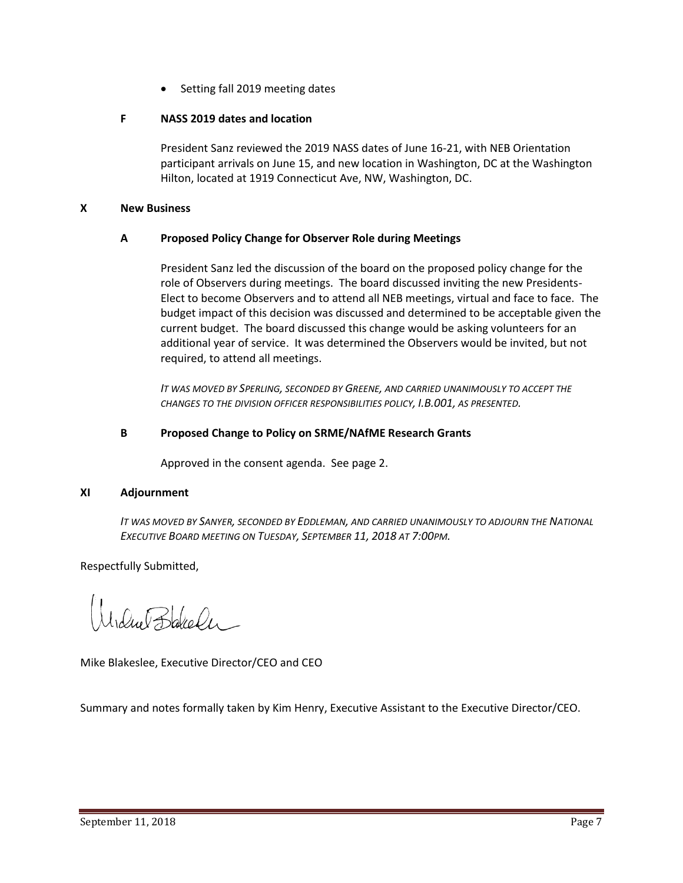• Setting fall 2019 meeting dates

# **F NASS 2019 dates and location**

President Sanz reviewed the 2019 NASS dates of June 16-21, with NEB Orientation participant arrivals on June 15, and new location in Washington, DC at the Washington Hilton, located at 1919 Connecticut Ave, NW, Washington, DC.

### **X New Business**

# **A Proposed Policy Change for Observer Role during Meetings**

President Sanz led the discussion of the board on the proposed policy change for the role of Observers during meetings. The board discussed inviting the new Presidents-Elect to become Observers and to attend all NEB meetings, virtual and face to face. The budget impact of this decision was discussed and determined to be acceptable given the current budget. The board discussed this change would be asking volunteers for an additional year of service. It was determined the Observers would be invited, but not required, to attend all meetings.

*IT WAS MOVED BY SPERLING, SECONDED BY GREENE, AND CARRIED UNANIMOUSLY TO ACCEPT THE CHANGES TO THE DIVISION OFFICER RESPONSIBILITIES POLICY, I.B.001, AS PRESENTED.*

### **B Proposed Change to Policy on SRME/NAfME Research Grants**

Approved in the consent agenda. See page 2.

### **XI Adjournment**

*IT WAS MOVED BY SANYER, SECONDED BY EDDLEMAN, AND CARRIED UNANIMOUSLY TO ADJOURN THE NATIONAL EXECUTIVE BOARD MEETING ON TUESDAY, SEPTEMBER 11, 2018 AT 7:00PM.*

Respectfully Submitted,

Irdue Bakeler

Mike Blakeslee, Executive Director/CEO and CEO

Summary and notes formally taken by Kim Henry, Executive Assistant to the Executive Director/CEO.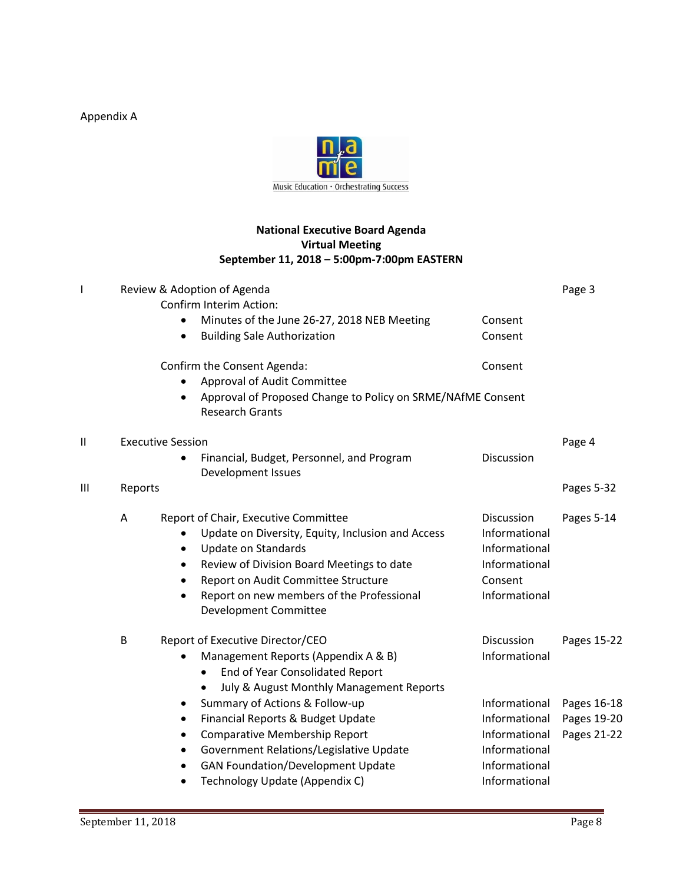Appendix A



# **National Executive Board Agenda Virtual Meeting September 11, 2018 – 5:00pm-7:00pm EASTERN**

| I | Review & Adoption of Agenda |                                                                                                    |               |             |  |
|---|-----------------------------|----------------------------------------------------------------------------------------------------|---------------|-------------|--|
|   |                             | Confirm Interim Action:                                                                            |               |             |  |
|   |                             | Minutes of the June 26-27, 2018 NEB Meeting<br>$\bullet$                                           | Consent       |             |  |
|   |                             | <b>Building Sale Authorization</b><br>$\bullet$                                                    | Consent       |             |  |
|   |                             | Confirm the Consent Agenda:                                                                        | Consent       |             |  |
|   |                             | Approval of Audit Committee                                                                        |               |             |  |
|   |                             | Approval of Proposed Change to Policy on SRME/NAfME Consent<br>$\bullet$<br><b>Research Grants</b> |               |             |  |
| П | <b>Executive Session</b>    |                                                                                                    |               |             |  |
|   |                             | Financial, Budget, Personnel, and Program<br>$\bullet$<br>Development Issues                       | Discussion    |             |  |
| Ш | Reports                     |                                                                                                    | Pages 5-32    |             |  |
|   | Α                           | Report of Chair, Executive Committee                                                               | Discussion    | Pages 5-14  |  |
|   |                             | Update on Diversity, Equity, Inclusion and Access                                                  | Informational |             |  |
|   |                             | <b>Update on Standards</b><br>$\bullet$                                                            | Informational |             |  |
|   |                             | Review of Division Board Meetings to date<br>$\bullet$                                             | Informational |             |  |
|   |                             | Report on Audit Committee Structure<br>$\bullet$                                                   | Consent       |             |  |
|   |                             | Report on new members of the Professional<br>$\bullet$<br>Development Committee                    | Informational |             |  |
|   |                             |                                                                                                    |               |             |  |
|   | B                           | Report of Executive Director/CEO                                                                   | Discussion    | Pages 15-22 |  |
|   |                             | Management Reports (Appendix A & B)                                                                | Informational |             |  |
|   |                             | End of Year Consolidated Report<br>$\bullet$                                                       |               |             |  |
|   |                             | July & August Monthly Management Reports                                                           |               |             |  |
|   |                             | Summary of Actions & Follow-up<br>٠                                                                | Informational | Pages 16-18 |  |
|   |                             | Financial Reports & Budget Update<br>$\bullet$                                                     | Informational | Pages 19-20 |  |
|   |                             | <b>Comparative Membership Report</b><br>$\bullet$                                                  | Informational | Pages 21-22 |  |
|   |                             | Government Relations/Legislative Update<br>٠                                                       | Informational |             |  |
|   |                             | <b>GAN Foundation/Development Update</b><br>$\bullet$                                              | Informational |             |  |
|   |                             | Technology Update (Appendix C)<br>$\bullet$                                                        | Informational |             |  |